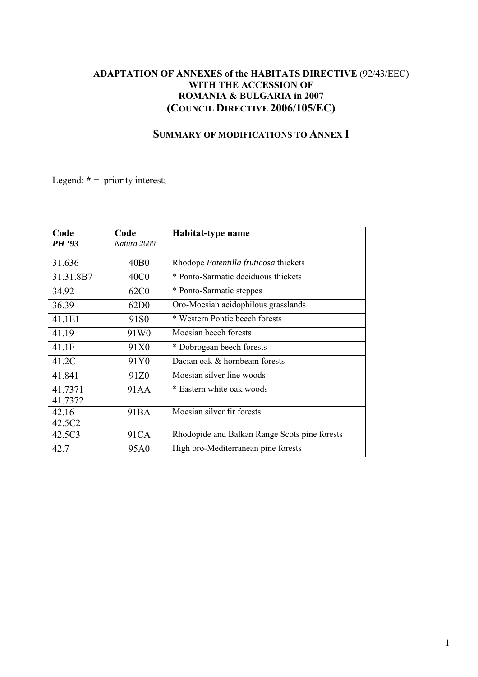## **ADAPTATION OF ANNEXES of the HABITATS DIRECTIVE** (92/43/EEC) **WITH THE ACCESSION OF ROMANIA & BULGARIA in 2007 (COUNCIL DIRECTIVE 2006/105/EC)**

## **SUMMARY OF MODIFICATIONS TO ANNEX I**

Legend: **\*** = priority interest;

| Code<br>PH '93 | Code<br>Natura 2000 | Habitat-type name                             |
|----------------|---------------------|-----------------------------------------------|
|                |                     |                                               |
| 31.636         | 40 <sub>B</sub> 0   | Rhodope Potentilla fruticosa thickets         |
| 31.31.8B7      | 40C <sub>0</sub>    | * Ponto-Sarmatic deciduous thickets           |
| 34.92          | 62C0                | * Ponto-Sarmatic steppes                      |
| 36.39          | 62D <sub>0</sub>    | Oro-Moesian acidophilous grasslands           |
| 41.1E1         | 91 <sub>S0</sub>    | * Western Pontic beech forests                |
| 41.19          | 91W <sub>0</sub>    | Moesian beech forests                         |
| 41.1F          | 91X0                | * Dobrogean beech forests                     |
| 41.2C          | 91Y <sub>0</sub>    | Dacian oak & hornbeam forests                 |
| 41.841         | 91Z <sub>0</sub>    | Moesian silver line woods                     |
| 41.7371        | 91AA                | * Eastern white oak woods                     |
| 41.7372        |                     |                                               |
| 42.16          | 91BA                | Moesian silver fir forests                    |
| 42.5C2         |                     |                                               |
| 42.5C3         | 91CA                | Rhodopide and Balkan Range Scots pine forests |
| 42.7           | 95A0                | High oro-Mediterranean pine forests           |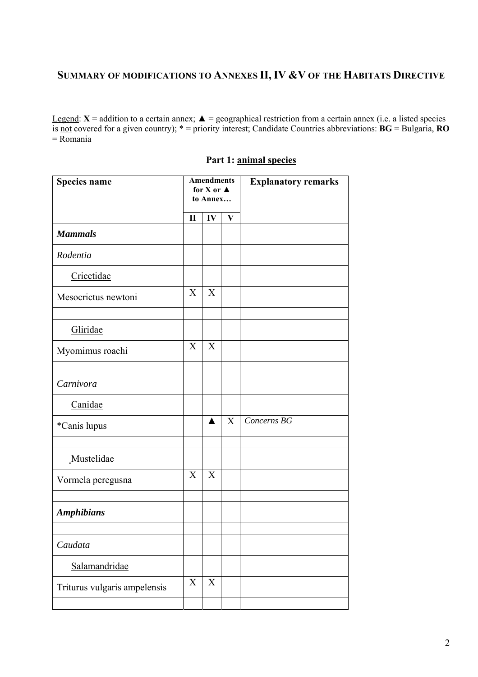# **SUMMARY OF MODIFICATIONS TO ANNEXES II, IV &V OF THE HABITATS DIRECTIVE**

Legend:  $X =$  addition to a certain annex;  $\triangle =$  geographical restriction from a certain annex (i.e. a listed species is not covered for a given country); \* = priority interest; Candidate Countries abbreviations: **BG** = Bulgaria, **RO**  $=$  Romania

|                  |                           |   | <b>Explanatory remarks</b>                            |
|------------------|---------------------------|---|-------------------------------------------------------|
| $\mathbf{I}$     | IV                        | V |                                                       |
|                  |                           |   |                                                       |
|                  |                           |   |                                                       |
|                  |                           |   |                                                       |
| X                | X                         |   |                                                       |
|                  |                           |   |                                                       |
| X                | X                         |   |                                                       |
|                  |                           |   |                                                       |
|                  |                           |   |                                                       |
|                  | ▲                         | X | Concerns BG                                           |
|                  |                           |   |                                                       |
| X                | X                         |   |                                                       |
|                  |                           |   |                                                       |
|                  |                           |   |                                                       |
|                  |                           |   |                                                       |
| $\boldsymbol{X}$ | $\boldsymbol{\mathrm{X}}$ |   |                                                       |
|                  |                           |   | <b>Amendments</b><br>for X or $\triangle$<br>to Annex |

#### **Part 1: animal species**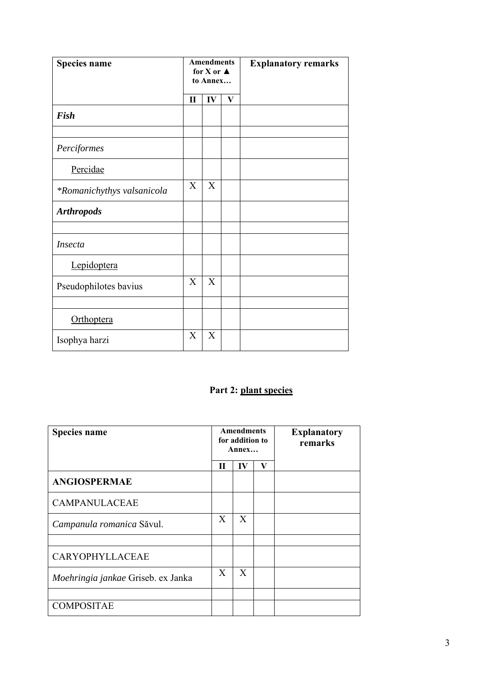| <b>Species name</b>        |                           | <b>Amendments</b><br>for X or $\triangle$<br>to Annex |              | <b>Explanatory remarks</b> |
|----------------------------|---------------------------|-------------------------------------------------------|--------------|----------------------------|
|                            | $\mathbf{I}$              | IV                                                    | $\mathbf{V}$ |                            |
| Fish                       |                           |                                                       |              |                            |
| Perciformes                |                           |                                                       |              |                            |
| Percidae                   |                           |                                                       |              |                            |
| *Romanichythys valsanicola | X                         | X                                                     |              |                            |
| <b>Arthropods</b>          |                           |                                                       |              |                            |
| <i>Insecta</i>             |                           |                                                       |              |                            |
| Lepidoptera                |                           |                                                       |              |                            |
| Pseudophilotes bavius      | $\boldsymbol{\mathrm{X}}$ | $\mathbf X$                                           |              |                            |
|                            |                           |                                                       |              |                            |
| Orthoptera                 |                           |                                                       |              |                            |
| Isophya harzi              | $\mathbf X$               | $\boldsymbol{X}$                                      |              |                            |

# Part 2: plant species

| <b>Species name</b>                | <b>Amendments</b><br>for addition to<br>Annex |              |   | <b>Explanatory</b><br>remarks |
|------------------------------------|-----------------------------------------------|--------------|---|-------------------------------|
|                                    | П                                             | IV           | V |                               |
| <b>ANGIOSPERMAE</b>                |                                               |              |   |                               |
| CAMPANULACEAE                      |                                               |              |   |                               |
| Campanula romanica Săvul.          | X                                             | $\mathbf{X}$ |   |                               |
|                                    |                                               |              |   |                               |
| CARYOPHYLLACEAE                    |                                               |              |   |                               |
| Moehringia jankae Griseb. ex Janka | X                                             | X            |   |                               |
|                                    |                                               |              |   |                               |
| <b>COMPOSITAE</b>                  |                                               |              |   |                               |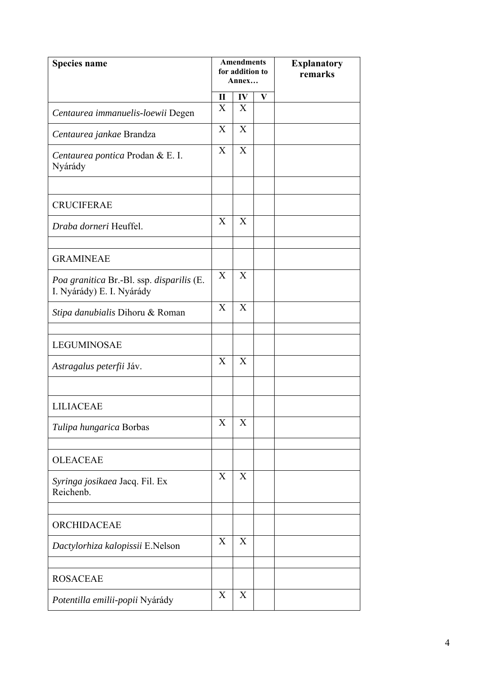| Species name                                                           |              | <b>Amendments</b><br>for addition to<br>Annex |          | <b>Explanatory</b><br>remarks |
|------------------------------------------------------------------------|--------------|-----------------------------------------------|----------|-------------------------------|
|                                                                        | $\mathbf{I}$ | IV                                            | $\bf{V}$ |                               |
| Centaurea immanuelis-loewii Degen                                      | X            | X                                             |          |                               |
| Centaurea jankae Brandza                                               | X            | X                                             |          |                               |
| Centaurea pontica Prodan & E. I.<br>Nyárády                            | X            | X                                             |          |                               |
| <b>CRUCIFERAE</b>                                                      |              |                                               |          |                               |
| Draba dorneri Heuffel.                                                 | X            | X                                             |          |                               |
| <b>GRAMINEAE</b>                                                       |              |                                               |          |                               |
| Poa granitica Br.-Bl. ssp. disparilis (E.<br>I. Nyárády) E. I. Nyárády | X            | X                                             |          |                               |
| Stipa danubialis Dihoru & Roman                                        | X            | X                                             |          |                               |
| <b>LEGUMINOSAE</b>                                                     |              |                                               |          |                               |
| Astragalus peterfii Jáv.                                               | X            | X                                             |          |                               |
| <b>LILIACEAE</b>                                                       |              |                                               |          |                               |
| Tulipa hungarica Borbas                                                | X            | X                                             |          |                               |
| <b>OLEACEAE</b>                                                        |              |                                               |          |                               |
| Syringa josikaea Jacq. Fil. Ex<br>Reichenb.                            | X            | X                                             |          |                               |
| ORCHIDACEAE                                                            |              |                                               |          |                               |
| Dactylorhiza kalopissii E.Nelson                                       | X            | X                                             |          |                               |
| <b>ROSACEAE</b>                                                        |              |                                               |          |                               |
| Potentilla emilii-popii Nyárády                                        | X            | X                                             |          |                               |